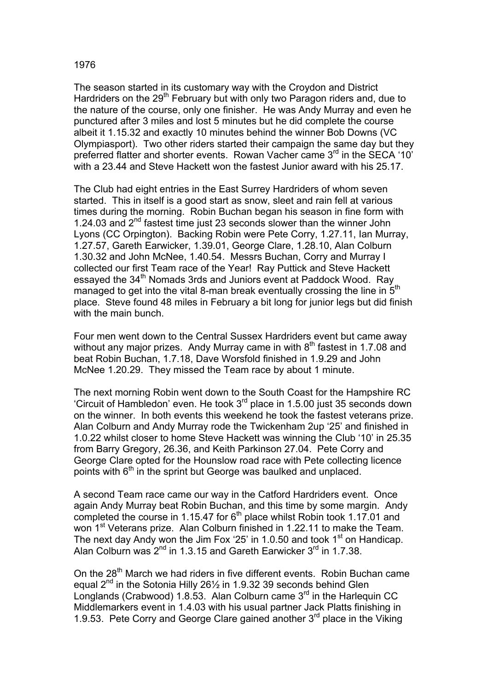## 1976

The season started in its customary way with the Croydon and District Hardriders on the 29<sup>th</sup> February but with only two Paragon riders and, due to the nature of the course, only one finisher. He was Andy Murray and even he punctured after 3 miles and lost 5 minutes but he did complete the course albeit it 1.15.32 and exactly 10 minutes behind the winner Bob Downs (VC Olympiasport). Two other riders started their campaign the same day but they preferred flatter and shorter events. Rowan Vacher came  $3<sup>rd</sup>$  in the SECA '10' with a 23.44 and Steve Hackett won the fastest Junior award with his 25.17.

The Club had eight entries in the East Surrey Hardriders of whom seven started. This in itself is a good start as snow, sleet and rain fell at various times during the morning. Robin Buchan began his season in fine form with 1.24.03 and  $2^{nd}$  fastest time just 23 seconds slower than the winner John Lyons (CC Orpington). Backing Robin were Pete Corry, 1.27.11, Ian Murray, 1.27.57, Gareth Earwicker, 1.39.01, George Clare, 1.28.10, Alan Colburn 1.30.32 and John McNee, 1.40.54. Messrs Buchan, Corry and Murray I collected our first Team race of the Year! Ray Puttick and Steve Hackett essayed the 34<sup>th</sup> Nomads 3rds and Juniors event at Paddock Wood. Ray managed to get into the vital 8-man break eventually crossing the line in 5<sup>th</sup> place. Steve found 48 miles in February a bit long for junior legs but did finish with the main bunch.

Four men went down to the Central Sussex Hardriders event but came away without any major prizes. Andy Murray came in with  $8<sup>th</sup>$  fastest in 1.7.08 and beat Robin Buchan, 1.7.18, Dave Worsfold finished in 1.9.29 and John McNee 1.20.29. They missed the Team race by about 1 minute.

The next morning Robin went down to the South Coast for the Hampshire RC 'Circuit of Hambledon' even. He took  $3<sup>rd</sup>$  place in 1.5.00 just 35 seconds down on the winner. In both events this weekend he took the fastest veterans prize. Alan Colburn and Andy Murray rode the Twickenham 2up '25' and finished in 1.0.22 whilst closer to home Steve Hackett was winning the Club '10' in 25.35 from Barry Gregory, 26.36, and Keith Parkinson 27.04. Pete Corry and George Clare opted for the Hounslow road race with Pete collecting licence points with  $6<sup>th</sup>$  in the sprint but George was baulked and unplaced.

A second Team race came our way in the Catford Hardriders event. Once again Andy Murray beat Robin Buchan, and this time by some margin. Andy completed the course in 1.15.47 for  $6<sup>th</sup>$  place whilst Robin took 1.17.01 and won 1<sup>st</sup> Veterans prize. Alan Colburn finished in 1.22.11 to make the Team. The next day Andy won the Jim Fox '25' in 1.0.50 and took  $1<sup>st</sup>$  on Handicap. Alan Colburn was 2<sup>nd</sup> in 1.3.15 and Gareth Earwicker 3<sup>rd</sup> in 1.7.38.

On the 28<sup>th</sup> March we had riders in five different events. Robin Buchan came equal  $2<sup>nd</sup>$  in the Sotonia Hilly 26 $\frac{1}{2}$  in 1.9.32 39 seconds behind Glen Longlands (Crabwood) 1.8.53. Alan Colburn came  $3<sup>rd</sup>$  in the Harlequin CC Middlemarkers event in 1.4.03 with his usual partner Jack Platts finishing in 1.9.53. Pete Corry and George Clare gained another  $3<sup>rd</sup>$  place in the Viking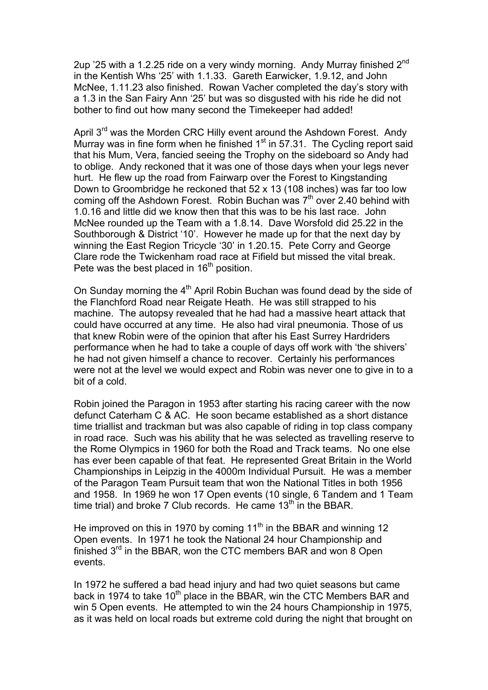2up '25 with a 1.2.25 ride on a very windy morning. Andy Murrav finished 2<sup>nd</sup> in the Kentish Whs '25' with 1.1.33. Gareth Earwicker, 1.9.12, and John McNee, 1.11.23 also finished. Rowan Vacher completed the day's story with a 1.3 in the San Fairy Ann '25' but was so disgusted with his ride he did not bother to find out how many second the Timekeeper had added!

April 3<sup>rd</sup> was the Morden CRC Hilly event around the Ashdown Forest. Andy Murray was in fine form when he finished  $1<sup>st</sup>$  in 57.31. The Cycling report said that his Mum, Vera, fancied seeing the Trophy on the sideboard so Andy had to oblige. Andy reckoned that it was one of those days when your legs never hurt. He flew up the road from Fairwarp over the Forest to Kingstanding Down to Groombridge he reckoned that 52 x 13 (108 inches) was far too low coming off the Ashdown Forest. Robin Buchan was  $7<sup>th</sup>$  over 2.40 behind with 1.0.16 and little did we know then that this was to be his last race. John McNee rounded up the Team with a 1.8.14. Dave Worsfold did 25.22 in the Southborough & District '10'. However he made up for that the next day by winning the East Region Tricycle '30' in 1.20.15. Pete Corry and George Clare rode the Twickenham road race at Fifield but missed the vital break. Pete was the best placed in  $16<sup>th</sup>$  position.

On Sunday morning the  $4<sup>th</sup>$  April Robin Buchan was found dead by the side of the Flanchford Road near Reigate Heath. He was still strapped to his machine. The autopsy revealed that he had had a massive heart attack that could have occurred at any time. He also had viral pneumonia. Those of us that knew Robin were of the opinion that after his East Surrey Hardriders performance when he had to take a couple of days off work with 'the shivers' he had not given himself a chance to recover. Certainly his performances were not at the level we would expect and Robin was never one to give in to a bit of a cold.

Robin joined the Paragon in 1953 after starting his racing career with the now defunct Caterham C & AC. He soon became established as a short distance time triallist and trackman but was also capable of riding in top class company in road race. Such was his ability that he was selected as travelling reserve to the Rome Olympics in 1960 for both the Road and Track teams. No one else has ever been capable of that feat. He represented Great Britain in the World Championships in Leipzig in the 4000m Individual Pursuit. He was a member of the Paragon Team Pursuit team that won the National Titles in both 1956 and 1958. In 1969 he won 17 Open events (10 single, 6 Tandem and 1 Team time trial) and broke 7 Club records. He came  $13<sup>th</sup>$  in the BBAR.

He improved on this in 1970 by coming  $11<sup>th</sup>$  in the BBAR and winning 12 Open events. In 1971 he took the National 24 hour Championship and finished  $3<sup>rd</sup>$  in the BBAR, won the CTC members BAR and won 8 Open events.

In 1972 he suffered a bad head injury and had two quiet seasons but came back in 1974 to take 10<sup>th</sup> place in the BBAR, win the CTC Members BAR and win 5 Open events. He attempted to win the 24 hours Championship in 1975, as it was held on local roads but extreme cold during the night that brought on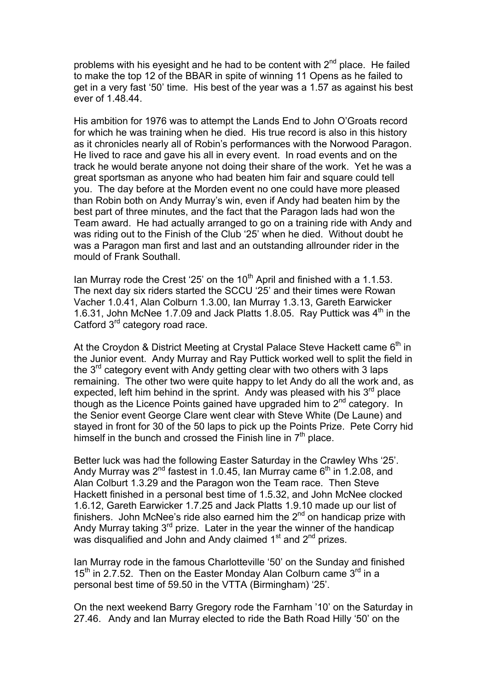problems with his eyesight and he had to be content with  $2<sup>nd</sup>$  place. He failed to make the top 12 of the BBAR in spite of winning 11 Opens as he failed to get in a very fast '50' time. His best of the year was a 1.57 as against his best ever of 1.48.44.

His ambition for 1976 was to attempt the Lands End to John O'Groats record for which he was training when he died. His true record is also in this history as it chronicles nearly all of Robin's performances with the Norwood Paragon. He lived to race and gave his all in every event. In road events and on the track he would berate anyone not doing their share of the work. Yet he was a great sportsman as anyone who had beaten him fair and square could tell you. The day before at the Morden event no one could have more pleased than Robin both on Andy Murray's win, even if Andy had beaten him by the best part of three minutes, and the fact that the Paragon lads had won the Team award. He had actually arranged to go on a training ride with Andy and was riding out to the Finish of the Club '25' when he died. Without doubt he was a Paragon man first and last and an outstanding allrounder rider in the mould of Frank Southall.

Ian Murray rode the Crest '25' on the  $10<sup>th</sup>$  April and finished with a 1.1.53. The next day six riders started the SCCU '25' and their times were Rowan Vacher 1.0.41, Alan Colburn 1.3.00, Ian Murray 1.3.13, Gareth Earwicker 1.6.31, John McNee 1.7.09 and Jack Platts 1.8.05. Ray Puttick was  $4<sup>th</sup>$  in the Catford 3<sup>rd</sup> category road race.

At the Croydon & District Meeting at Crystal Palace Steve Hackett came 6<sup>th</sup> in the Junior event. Andy Murray and Ray Puttick worked well to split the field in the  $3<sup>rd</sup>$  category event with Andy getting clear with two others with 3 laps remaining. The other two were quite happy to let Andy do all the work and, as expected, left him behind in the sprint. Andy was pleased with his  $3<sup>rd</sup>$  place though as the Licence Points gained have upgraded him to 2<sup>nd</sup> category. In the Senior event George Clare went clear with Steve White (De Laune) and stayed in front for 30 of the 50 laps to pick up the Points Prize. Pete Corry hid himself in the bunch and crossed the Finish line in  $7<sup>th</sup>$  place.

Better luck was had the following Easter Saturday in the Crawley Whs '25'. Andy Murray was  $2^{nd}$  fastest in 1.0.45, Ian Murray came  $6^{th}$  in 1.2.08, and Alan Colburt 1.3.29 and the Paragon won the Team race. Then Steve Hackett finished in a personal best time of 1.5.32, and John McNee clocked 1.6.12, Gareth Earwicker 1.7.25 and Jack Platts 1.9.10 made up our list of finishers. John McNee's ride also earned him the  $2<sup>nd</sup>$  on handicap prize with Andy Murray taking  $3<sup>rd</sup>$  prize. Later in the year the winner of the handicap was disqualified and John and Andy claimed 1<sup>st</sup> and 2<sup>nd</sup> prizes.

Ian Murray rode in the famous Charlotteville '50' on the Sunday and finished  $15<sup>th</sup>$  in 2.7.52. Then on the Easter Monday Alan Colburn came  $3<sup>rd</sup>$  in a personal best time of 59.50 in the VTTA (Birmingham) '25'.

On the next weekend Barry Gregory rode the Farnham '10' on the Saturday in 27.46. Andy and Ian Murray elected to ride the Bath Road Hilly '50' on the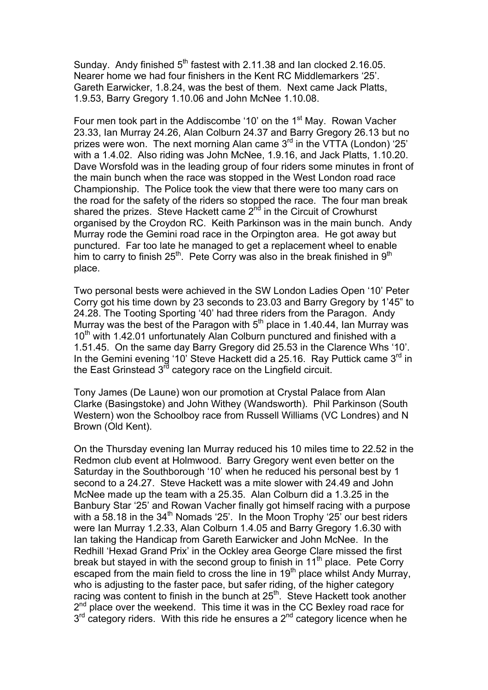Sunday. Andy finished 5<sup>th</sup> fastest with 2.11.38 and Ian clocked 2.16.05. Nearer home we had four finishers in the Kent RC Middlemarkers '25'. Gareth Earwicker, 1.8.24, was the best of them. Next came Jack Platts, 1.9.53, Barry Gregory 1.10.06 and John McNee 1.10.08.

Four men took part in the Addiscombe '10' on the 1<sup>st</sup> May. Rowan Vacher 23.33, Ian Murray 24.26, Alan Colburn 24.37 and Barry Gregory 26.13 but no prizes were won. The next morning Alan came  $3<sup>rd</sup>$  in the VTTA (London) '25' with a 1.4.02. Also riding was John McNee, 1.9.16, and Jack Platts, 1.10.20. Dave Worsfold was in the leading group of four riders some minutes in front of the main bunch when the race was stopped in the West London road race Championship. The Police took the view that there were too many cars on the road for the safety of the riders so stopped the race. The four man break shared the prizes. Steve Hackett came  $2<sup>nd</sup>$  in the Circuit of Crowhurst organised by the Croydon RC. Keith Parkinson was in the main bunch. Andy Murray rode the Gemini road race in the Orpington area. He got away but punctured. Far too late he managed to get a replacement wheel to enable him to carry to finish  $25<sup>th</sup>$ . Pete Corry was also in the break finished in  $9<sup>th</sup>$ place.

Two personal bests were achieved in the SW London Ladies Open '10' Peter Corry got his time down by 23 seconds to 23.03 and Barry Gregory by 1'45" to 24.28. The Tooting Sporting '40' had three riders from the Paragon. Andy Murray was the best of the Paragon with  $5<sup>th</sup>$  place in 1.40.44, Ian Murray was 10<sup>th</sup> with 1.42.01 unfortunately Alan Colburn punctured and finished with a 1.51.45. On the same day Barry Gregory did 25.53 in the Clarence Whs '10'. In the Gemini evening '10' Steve Hackett did a 25.16. Ray Puttick came  $3<sup>rd</sup>$  in the East Grinstead  $3<sup>rd</sup>$  category race on the Lingfield circuit.

Tony James (De Laune) won our promotion at Crystal Palace from Alan Clarke (Basingstoke) and John Withey (Wandsworth). Phil Parkinson (South Western) won the Schoolboy race from Russell Williams (VC Londres) and N Brown (Old Kent).

On the Thursday evening Ian Murray reduced his 10 miles time to 22.52 in the Redmon club event at Holmwood. Barry Gregory went even better on the Saturday in the Southborough '10' when he reduced his personal best by 1 second to a 24.27. Steve Hackett was a mite slower with 24.49 and John McNee made up the team with a 25.35. Alan Colburn did a 1.3.25 in the Banbury Star '25' and Rowan Vacher finally got himself racing with a purpose with a 58.18 in the  $34<sup>th</sup>$  Nomads '25'. In the Moon Trophy '25' our best riders were Ian Murray 1.2.33, Alan Colburn 1.4.05 and Barry Gregory 1.6.30 with Ian taking the Handicap from Gareth Earwicker and John McNee. In the Redhill 'Hexad Grand Prix' in the Ockley area George Clare missed the first break but stayed in with the second group to finish in 11<sup>th</sup> place. Pete Corry escaped from the main field to cross the line in 19<sup>th</sup> place whilst Andy Murray, who is adjusting to the faster pace, but safer riding, of the higher category racing was content to finish in the bunch at  $25<sup>th</sup>$ . Steve Hackett took another 2<sup>nd</sup> place over the weekend. This time it was in the CC Bexley road race for  $3<sup>rd</sup>$  category riders. With this ride he ensures a  $2<sup>nd</sup>$  category licence when he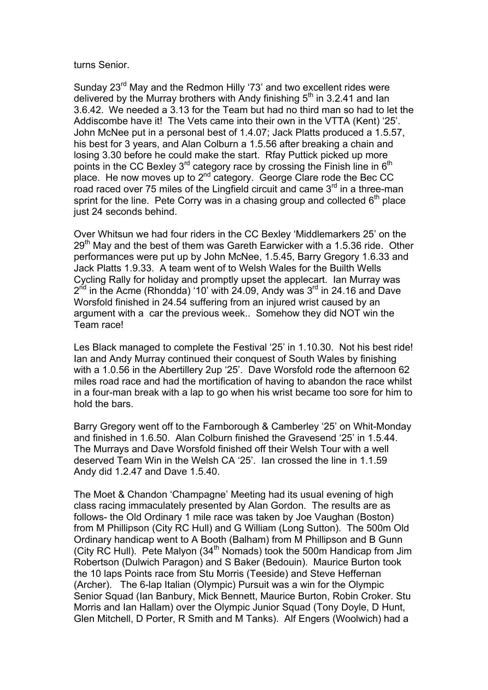## turns Senior.

Sunday 23<sup>rd</sup> May and the Redmon Hilly '73' and two excellent rides were delivered by the Murray brothers with Andy finishing  $5<sup>th</sup>$  in 3.2.41 and Ian 3.6.42. We needed a 3.13 for the Team but had no third man so had to let the Addiscombe have it! The Vets came into their own in the VTTA (Kent) '25'. John McNee put in a personal best of 1.4.07; Jack Platts produced a 1.5.57, his best for 3 years, and Alan Colburn a 1.5.56 after breaking a chain and losing 3.30 before he could make the start. Rfay Puttick picked up more points in the CC Bexley  $3<sup>rd</sup>$  category race by crossing the Finish line in  $6<sup>th</sup>$ place. He now moves up to 2<sup>nd</sup> category. George Clare rode the Bec CC  $\frac{1}{2}$  road raced over 75 miles of the Lingfield circuit and came 3 $^{\text{rd}}$  in a three-man sprint for the line. Pete Corry was in a chasing group and collected  $6<sup>th</sup>$  place just 24 seconds behind.

Over Whitsun we had four riders in the CC Bexley 'Middlemarkers 25' on the  $29<sup>th</sup>$  May and the best of them was Gareth Earwicker with a 1.5.36 ride. Other performances were put up by John McNee, 1.5.45, Barry Gregory 1.6.33 and Jack Platts 1.9.33. A team went of to Welsh Wales for the Builth Wells Cycling Rally for holiday and promptly upset the applecart. Ian Murray was  $2^{nd}$  in the Acme (Rhondda) '10' with 24.09, Andy was  $3^{rd}$  in 24.16 and Dave Worsfold finished in 24.54 suffering from an injured wrist caused by an argument with a car the previous week.. Somehow they did NOT win the Team race!

Les Black managed to complete the Festival '25' in 1.10.30. Not his best ride! Ian and Andy Murray continued their conquest of South Wales by finishing with a 1.0.56 in the Abertillery 2up '25'. Dave Worsfold rode the afternoon 62 miles road race and had the mortification of having to abandon the race whilst in a four-man break with a lap to go when his wrist became too sore for him to hold the bars.

Barry Gregory went off to the Farnborough & Camberley '25' on Whit-Monday and finished in 1.6.50. Alan Colburn finished the Gravesend '25' in 1.5.44. The Murrays and Dave Worsfold finished off their Welsh Tour with a well deserved Team Win in the Welsh CA '25'. Ian crossed the line in 1.1.59 Andy did 1.2.47 and Dave 1.5.40.

The Moet & Chandon 'Champagne' Meeting had its usual evening of high class racing immaculately presented by Alan Gordon. The results are as follows- the Old Ordinary 1 mile race was taken by Joe Vaughan (Boston) from M Phillipson (City RC Hull) and G William (Long Sutton). The 500m Old Ordinary handicap went to A Booth (Balham) from M Phillipson and B Gunn (City RC Hull). Pete Malyon  $(34<sup>th</sup>$  Nomads) took the 500m Handicap from Jim Robertson (Dulwich Paragon) and S Baker (Bedouin). Maurice Burton took the 10 laps Points race from Stu Morris (Teeside) and Steve Heffernan (Archer). The 6-lap Italian (Olympic) Pursuit was a win for the Olympic Senior Squad (Ian Banbury, Mick Bennett, Maurice Burton, Robin Croker. Stu Morris and Ian Hallam) over the Olympic Junior Squad (Tony Doyle, D Hunt, Glen Mitchell, D Porter, R Smith and M Tanks). Alf Engers (Woolwich) had a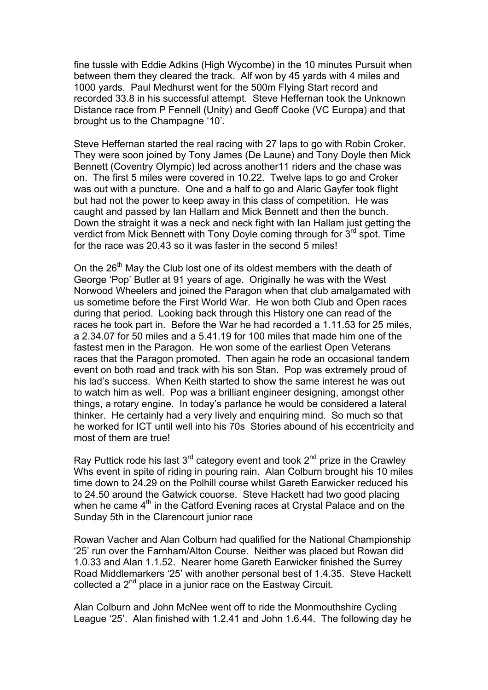fine tussle with Eddie Adkins (High Wycombe) in the 10 minutes Pursuit when between them they cleared the track. Alf won by 45 yards with 4 miles and 1000 yards. Paul Medhurst went for the 500m Flying Start record and recorded 33.8 in his successful attempt. Steve Heffernan took the Unknown Distance race from P Fennell (Unity) and Geoff Cooke (VC Europa) and that brought us to the Champagne '10'.

Steve Heffernan started the real racing with 27 laps to go with Robin Croker. They were soon joined by Tony James (De Laune) and Tony Doyle then Mick Bennett (Coventry Olympic) led across another11 riders and the chase was on. The first 5 miles were covered in 10.22. Twelve laps to go and Croker was out with a puncture. One and a half to go and Alaric Gayfer took flight but had not the power to keep away in this class of competition. He was caught and passed by Ian Hallam and Mick Bennett and then the bunch. Down the straight it was a neck and neck fight with Ian Hallam just getting the verdict from Mick Bennett with Tony Doyle coming through for 3<sup>rd</sup> spot. Time for the race was 20.43 so it was faster in the second 5 miles!

On the 26<sup>th</sup> May the Club lost one of its oldest members with the death of George 'Pop' Butler at 91 years of age. Originally he was with the West Norwood Wheelers and joined the Paragon when that club amalgamated with us sometime before the First World War. He won both Club and Open races during that period. Looking back through this History one can read of the races he took part in. Before the War he had recorded a 1.11.53 for 25 miles, a 2.34.07 for 50 miles and a 5.41.19 for 100 miles that made him one of the fastest men in the Paragon. He won some of the earliest Open Veterans races that the Paragon promoted. Then again he rode an occasional tandem event on both road and track with his son Stan. Pop was extremely proud of his lad's success. When Keith started to show the same interest he was out to watch him as well. Pop was a brilliant engineer designing, amongst other things, a rotary engine. In today's parlance he would be considered a lateral thinker. He certainly had a very lively and enquiring mind. So much so that he worked for ICT until well into his 70s Stories abound of his eccentricity and most of them are true!

Ray Puttick rode his last  $3^{rd}$  category event and took  $2^{nd}$  prize in the Crawley Whs event in spite of riding in pouring rain. Alan Colburn brought his 10 miles time down to 24.29 on the Polhill course whilst Gareth Earwicker reduced his to 24.50 around the Gatwick couorse. Steve Hackett had two good placing when he came 4<sup>th</sup> in the Catford Evening races at Crystal Palace and on the Sunday 5th in the Clarencourt junior race

Rowan Vacher and Alan Colburn had qualified for the National Championship '25' run over the Farnham/Alton Course. Neither was placed but Rowan did 1.0.33 and Alan 1.1.52. Nearer home Gareth Earwicker finished the Surrey Road Middlemarkers '25' with another personal best of 1.4.35. Steve Hackett collected a  $2<sup>nd</sup>$  place in a junior race on the Eastway Circuit.

Alan Colburn and John McNee went off to ride the Monmouthshire Cycling League '25'. Alan finished with 1.2.41 and John 1.6.44. The following day he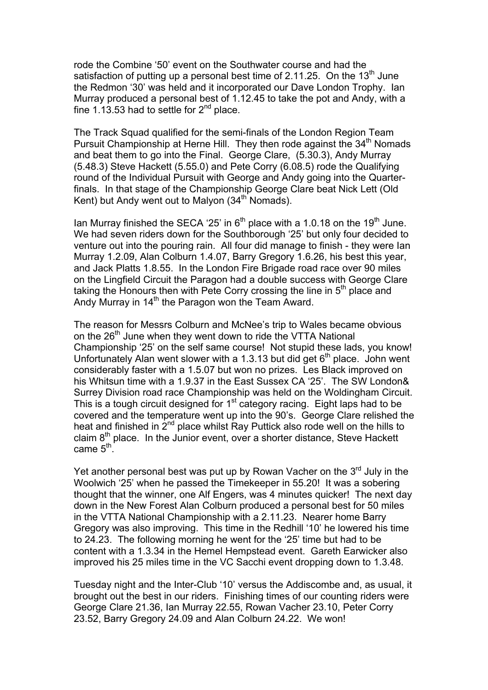rode the Combine '50' event on the Southwater course and had the satisfaction of putting up a personal best time of 2.11.25. On the 13<sup>th</sup> June the Redmon '30' was held and it incorporated our Dave London Trophy. Ian Murray produced a personal best of 1.12.45 to take the pot and Andy, with a fine 1.13.53 had to settle for  $2^{nd}$  place.

The Track Squad qualified for the semi-finals of the London Region Team Pursuit Championship at Herne Hill. They then rode against the 34<sup>th</sup> Nomads and beat them to go into the Final. George Clare, (5.30.3), Andy Murray (5.48.3) Steve Hackett (5.55.0) and Pete Corry (6.08.5) rode the Qualifying round of the Individual Pursuit with George and Andy going into the Quarterfinals. In that stage of the Championship George Clare beat Nick Lett (Old Kent) but Andy went out to Malyon  $(34<sup>th</sup>$  Nomads).

Ian Murray finished the SECA '25' in  $6<sup>th</sup>$  place with a 1.0.18 on the 19 $<sup>th</sup>$  June.</sup> We had seven riders down for the Southborough '25' but only four decided to venture out into the pouring rain. All four did manage to finish - they were Ian Murray 1.2.09, Alan Colburn 1.4.07, Barry Gregory 1.6.26, his best this year, and Jack Platts 1.8.55. In the London Fire Brigade road race over 90 miles on the Lingfield Circuit the Paragon had a double success with George Clare taking the Honours then with Pete Corry crossing the line in  $5<sup>th</sup>$  place and Andy Murray in 14<sup>th</sup> the Paragon won the Team Award.

The reason for Messrs Colburn and McNee's trip to Wales became obvious on the 26<sup>th</sup> June when they went down to ride the VTTA National Championship '25' on the self same course! Not stupid these lads, you know! Unfortunately Alan went slower with a 1.3.13 but did get  $6<sup>th</sup>$  place. John went considerably faster with a 1.5.07 but won no prizes. Les Black improved on his Whitsun time with a 1.9.37 in the East Sussex CA '25'. The SW London& Surrey Division road race Championship was held on the Woldingham Circuit. This is a tough circuit designed for  $1<sup>st</sup>$  category racing. Eight laps had to be covered and the temperature went up into the 90's. George Clare relished the heat and finished in 2nd place whilst Ray Puttick also rode well on the hills to claim  $8<sup>th</sup>$  place. In the Junior event, over a shorter distance, Steve Hackett came  $5<sup>th</sup>$ .

Yet another personal best was put up by Rowan Vacher on the 3<sup>rd</sup> July in the Woolwich '25' when he passed the Timekeeper in 55.20! It was a sobering thought that the winner, one Alf Engers, was 4 minutes quicker! The next day down in the New Forest Alan Colburn produced a personal best for 50 miles in the VTTA National Championship with a 2.11.23. Nearer home Barry Gregory was also improving. This time in the Redhill '10' he lowered his time to 24.23. The following morning he went for the '25' time but had to be content with a 1.3.34 in the Hemel Hempstead event. Gareth Earwicker also improved his 25 miles time in the VC Sacchi event dropping down to 1.3.48.

Tuesday night and the Inter-Club '10' versus the Addiscombe and, as usual, it brought out the best in our riders. Finishing times of our counting riders were George Clare 21.36, Ian Murray 22.55, Rowan Vacher 23.10, Peter Corry 23.52, Barry Gregory 24.09 and Alan Colburn 24.22. We won!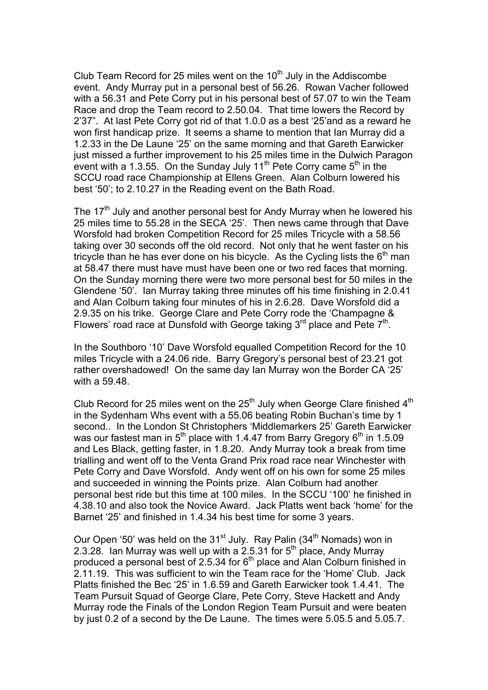Club Team Record for 25 miles went on the  $10<sup>th</sup>$  July in the Addiscombe event. Andy Murray put in a personal best of 56.26. Rowan Vacher followed with a 56.31 and Pete Corry put in his personal best of 57.07 to win the Team Race and drop the Team record to 2.50.04. That time lowers the Record by 2'37". At last Pete Corry got rid of that 1.0.0 as a best '25'and as a reward he won first handicap prize. It seems a shame to mention that Ian Murray did a 1.2.33 in the De Laune '25' on the same morning and that Gareth Earwicker just missed a further improvement to his 25 miles time in the Dulwich Paragon event with a 1.3.55. On the Sunday July 11<sup>th</sup> Pete Corry came  $5<sup>th</sup>$  in the SCCU road race Championship at Ellens Green. Alan Colburn lowered his best '50'; to 2.10.27 in the Reading event on the Bath Road.

The  $17<sup>th</sup>$  July and another personal best for Andy Murray when he lowered his 25 miles time to 55.28 in the SECA '25'. Then news came through that Dave Worsfold had broken Competition Record for 25 miles Tricycle with a 58.56 taking over 30 seconds off the old record. Not only that he went faster on his tricycle than he has ever done on his bicycle. As the Cycling lists the  $6<sup>th</sup>$  man at 58.47 there must have must have been one or two red faces that morning. On the Sunday morning there were two more personal best for 50 miles in the Glendene '50'. Ian Murray taking three minutes off his time finishing in 2.0.41 and Alan Colburn taking four minutes of his in 2.6.28. Dave Worsfold did a 2.9.35 on his trike. George Clare and Pete Corry rode the 'Champagne & Flowers' road race at Dunsfold with George taking  $3<sup>rd</sup>$  place and Pete  $7<sup>th</sup>$ .

In the Southboro '10' Dave Worsfold equalled Competition Record for the 10 miles Tricycle with a 24.06 ride. Barry Gregory's personal best of 23.21 got rather overshadowed! On the same day Ian Murray won the Border CA '25' with a 59.48.

Club Record for 25 miles went on the  $25<sup>th</sup>$  July when George Clare finished  $4<sup>th</sup>$ in the Sydenham Whs event with a 55.06 beating Robin Buchan's time by 1 second.. In the London St Christophers 'Middlemarkers 25' Gareth Earwicker was our fastest man in  $5<sup>th</sup>$  place with 1.4.47 from Barry Gregory  $6<sup>th</sup>$  in 1.5.09 and Les Black, getting faster, in 1.8.20. Andy Murray took a break from time trialling and went off to the Venta Grand Prix road race near Winchester with Pete Corry and Dave Worsfold. Andy went off on his own for some 25 miles and succeeded in winning the Points prize. Alan Colburn had another personal best ride but this time at 100 miles. In the SCCU '100' he finished in 4.38.10 and also took the Novice Award. Jack Platts went back 'home' for the Barnet '25' and finished in 1.4.34 his best time for some 3 years.

Our Open '50' was held on the 31<sup>st</sup> July. Ray Palin (34<sup>th</sup> Nomads) won in 2.3.28. Ian Murray was well up with a  $2.5.31$  for  $5<sup>th</sup>$  place, Andy Murray produced a personal best of  $2.5.34$  for  $6<sup>th</sup>$  place and Alan Colburn finished in 2.11.19. This was sufficient to win the Team race for the 'Home' Club. Jack Platts finished the Bec '25' in 1.6.59 and Gareth Earwicker took 1.4.41. The Team Pursuit Squad of George Clare, Pete Corry, Steve Hackett and Andy Murray rode the Finals of the London Region Team Pursuit and were beaten by just 0.2 of a second by the De Laune. The times were 5.05.5 and 5.05.7.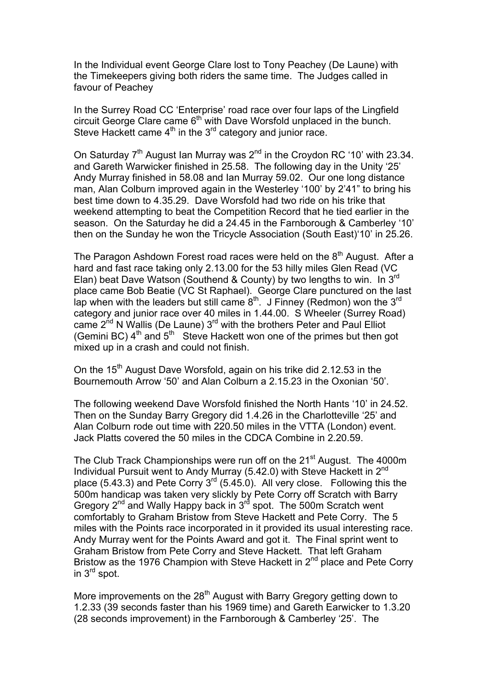In the Individual event George Clare lost to Tony Peachey (De Laune) with the Timekeepers giving both riders the same time. The Judges called in favour of Peachey

In the Surrey Road CC 'Enterprise' road race over four laps of the Lingfield circuit George Clare came  $6<sup>th</sup>$  with Dave Worsfold unplaced in the bunch. Steve Hackett came  $4<sup>th</sup>$  in the 3<sup>rd</sup> category and junior race.

On Saturday  $7<sup>th</sup>$  August Ian Murray was  $2<sup>nd</sup>$  in the Croydon RC '10' with 23.34. and Gareth Warwicker finished in 25.58. The following day in the Unity '25' Andy Murray finished in 58.08 and Ian Murray 59.02. Our one long distance man, Alan Colburn improved again in the Westerley '100' by 2'41" to bring his best time down to 4.35.29. Dave Worsfold had two ride on his trike that weekend attempting to beat the Competition Record that he tied earlier in the season. On the Saturday he did a 24.45 in the Farnborough & Camberley '10' then on the Sunday he won the Tricycle Association (South East)'10' in 25.26.

The Paragon Ashdown Forest road races were held on the  $8<sup>th</sup>$  August. After a hard and fast race taking only 2.13.00 for the 53 hilly miles Glen Read (VC Elan) beat Dave Watson (Southend & County) by two lengths to win. In 3<sup>rd</sup> place came Bob Beatie (VC St Raphael). George Clare punctured on the last lap when with the leaders but still came  $8<sup>th</sup>$ . J Finney (Redmon) won the  $3<sup>rd</sup>$ category and junior race over 40 miles in 1.44.00. S Wheeler (Surrey Road) came  $2^{nd}$  N Wallis (De Laune)  $3^{rd}$  with the brothers Peter and Paul Elliot (Gemini BC)  $4^{th}$  and  $5^{th}$  Steve Hackett won one of the primes but then got mixed up in a crash and could not finish.

On the 15<sup>th</sup> August Dave Worsfold, again on his trike did 2.12.53 in the Bournemouth Arrow '50' and Alan Colburn a 2.15.23 in the Oxonian '50'.

The following weekend Dave Worsfold finished the North Hants '10' in 24.52. Then on the Sunday Barry Gregory did 1.4.26 in the Charlotteville '25' and Alan Colburn rode out time with 220.50 miles in the VTTA (London) event. Jack Platts covered the 50 miles in the CDCA Combine in 2.20.59.

The Club Track Championships were run off on the 21<sup>st</sup> August. The 4000m Individual Pursuit went to Andy Murray (5.42.0) with Steve Hackett in 2nd place (5.43.3) and Pete Corry  $3^{rd}$  (5.45.0). All very close. Following this the 500m handicap was taken very slickly by Pete Corry off Scratch with Barry Gregory  $2^{nd}$  and Wally Happy back in  $3^{rd}$  spot. The 500m Scratch went comfortably to Graham Bristow from Steve Hackett and Pete Corry. The 5 miles with the Points race incorporated in it provided its usual interesting race. Andy Murray went for the Points Award and got it. The Final sprint went to Graham Bristow from Pete Corry and Steve Hackett. That left Graham Bristow as the 1976 Champion with Steve Hackett in  $2^{nd}$  place and Pete Corry in 3rd spot.

More improvements on the 28<sup>th</sup> August with Barry Gregory getting down to 1.2.33 (39 seconds faster than his 1969 time) and Gareth Earwicker to 1.3.20 (28 seconds improvement) in the Farnborough & Camberley '25'. The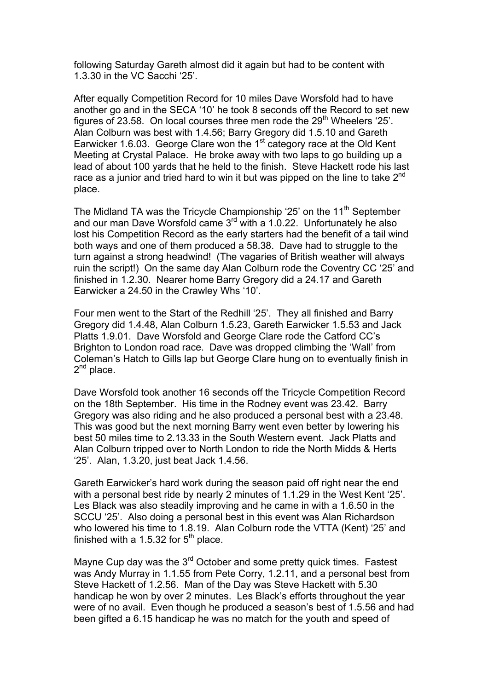following Saturday Gareth almost did it again but had to be content with 1.3.30 in the VC Sacchi '25'.

After equally Competition Record for 10 miles Dave Worsfold had to have another go and in the SECA '10' he took 8 seconds off the Record to set new figures of 23.58. On local courses three men rode the  $29<sup>th</sup>$  Wheelers '25'. Alan Colburn was best with 1.4.56; Barry Gregory did 1.5.10 and Gareth Earwicker 1.6.03. George Clare won the  $1<sup>st</sup>$  category race at the Old Kent Meeting at Crystal Palace. He broke away with two laps to go building up a lead of about 100 yards that he held to the finish. Steve Hackett rode his last race as a junior and tried hard to win it but was pipped on the line to take  $2^{nd}$ place.

The Midland TA was the Tricycle Championship '25' on the 11<sup>th</sup> September and our man Dave Worsfold came  $3<sup>rd</sup>$  with a 1.0.22. Unfortunately he also lost his Competition Record as the early starters had the benefit of a tail wind both ways and one of them produced a 58.38. Dave had to struggle to the turn against a strong headwind! (The vagaries of British weather will always ruin the script!) On the same day Alan Colburn rode the Coventry CC '25' and finished in 1.2.30. Nearer home Barry Gregory did a 24.17 and Gareth Earwicker a 24.50 in the Crawley Whs '10'.

Four men went to the Start of the Redhill '25'. They all finished and Barry Gregory did 1.4.48, Alan Colburn 1.5.23, Gareth Earwicker 1.5.53 and Jack Platts 1.9.01. Dave Worsfold and George Clare rode the Catford CC's Brighton to London road race. Dave was dropped climbing the 'Wall' from Coleman's Hatch to Gills lap but George Clare hung on to eventually finish in 2<sup>nd</sup> place.

Dave Worsfold took another 16 seconds off the Tricycle Competition Record on the 18th September. His time in the Rodney event was 23.42. Barry Gregory was also riding and he also produced a personal best with a 23.48. This was good but the next morning Barry went even better by lowering his best 50 miles time to 2.13.33 in the South Western event. Jack Platts and Alan Colburn tripped over to North London to ride the North Midds & Herts '25'. Alan, 1.3.20, just beat Jack 1.4.56.

Gareth Earwicker's hard work during the season paid off right near the end with a personal best ride by nearly 2 minutes of 1.1.29 in the West Kent '25'. Les Black was also steadily improving and he came in with a 1.6.50 in the SCCU '25'. Also doing a personal best in this event was Alan Richardson who lowered his time to 1.8.19. Alan Colburn rode the VTTA (Kent) '25' and finished with a 1.5.32 for  $5<sup>th</sup>$  place.

Mayne Cup day was the  $3<sup>rd</sup>$  October and some pretty quick times. Fastest was Andy Murray in 1.1.55 from Pete Corry, 1.2.11, and a personal best from Steve Hackett of 1.2.56. Man of the Day was Steve Hackett with 5.30 handicap he won by over 2 minutes. Les Black's efforts throughout the year were of no avail. Even though he produced a season's best of 1.5.56 and had been gifted a 6.15 handicap he was no match for the youth and speed of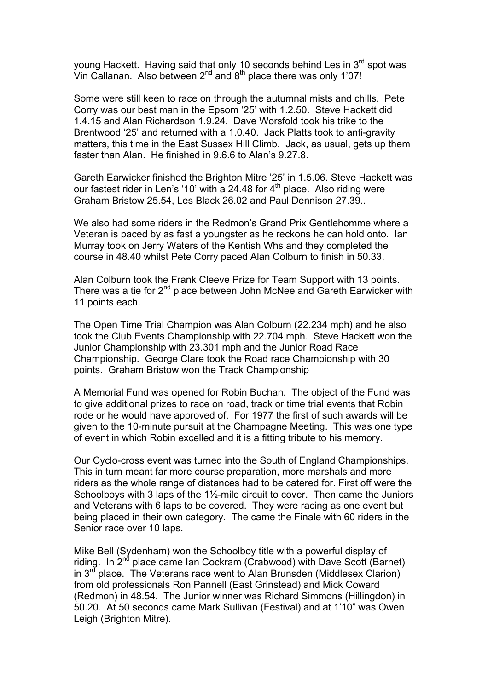young Hackett. Having said that only 10 seconds behind Les in 3<sup>rd</sup> spot was Vin Callanan. Also between  $2^{nd}$  and  $8^{th}$  place there was only 1'07!

Some were still keen to race on through the autumnal mists and chills. Pete Corry was our best man in the Epsom '25' with 1.2.50. Steve Hackett did 1.4.15 and Alan Richardson 1.9.24. Dave Worsfold took his trike to the Brentwood '25' and returned with a 1.0.40. Jack Platts took to anti-gravity matters, this time in the East Sussex Hill Climb. Jack, as usual, gets up them faster than Alan. He finished in 9.6.6 to Alan's 9.27.8.

Gareth Earwicker finished the Brighton Mitre '25' in 1.5.06. Steve Hackett was our fastest rider in Len's '10' with a 24.48 for  $4<sup>th</sup>$  place. Also riding were Graham Bristow 25.54, Les Black 26.02 and Paul Dennison 27.39..

We also had some riders in the Redmon's Grand Prix Gentlehomme where a Veteran is paced by as fast a youngster as he reckons he can hold onto. Ian Murray took on Jerry Waters of the Kentish Whs and they completed the course in 48.40 whilst Pete Corry paced Alan Colburn to finish in 50.33.

Alan Colburn took the Frank Cleeve Prize for Team Support with 13 points. There was a tie for  $2^{nd}$  place between John McNee and Gareth Earwicker with 11 points each.

The Open Time Trial Champion was Alan Colburn (22.234 mph) and he also took the Club Events Championship with 22.704 mph. Steve Hackett won the Junior Championship with 23.301 mph and the Junior Road Race Championship. George Clare took the Road race Championship with 30 points. Graham Bristow won the Track Championship

A Memorial Fund was opened for Robin Buchan. The object of the Fund was to give additional prizes to race on road, track or time trial events that Robin rode or he would have approved of. For 1977 the first of such awards will be given to the 10-minute pursuit at the Champagne Meeting. This was one type of event in which Robin excelled and it is a fitting tribute to his memory.

Our Cyclo-cross event was turned into the South of England Championships. This in turn meant far more course preparation, more marshals and more riders as the whole range of distances had to be catered for. First off were the Schoolboys with 3 laps of the 1½-mile circuit to cover. Then came the Juniors and Veterans with 6 laps to be covered. They were racing as one event but being placed in their own category. The came the Finale with 60 riders in the Senior race over 10 laps.

Mike Bell (Sydenham) won the Schoolboy title with a powerful display of riding. In  $2<sup>nd</sup>$  place came Ian Cockram (Crabwood) with Dave Scott (Barnet) in  $3<sup>rd</sup>$  place. The Veterans race went to Alan Brunsden (Middlesex Clarion) from old professionals Ron Pannell (East Grinstead) and Mick Coward (Redmon) in 48.54. The Junior winner was Richard Simmons (Hillingdon) in 50.20. At 50 seconds came Mark Sullivan (Festival) and at 1'10" was Owen Leigh (Brighton Mitre).